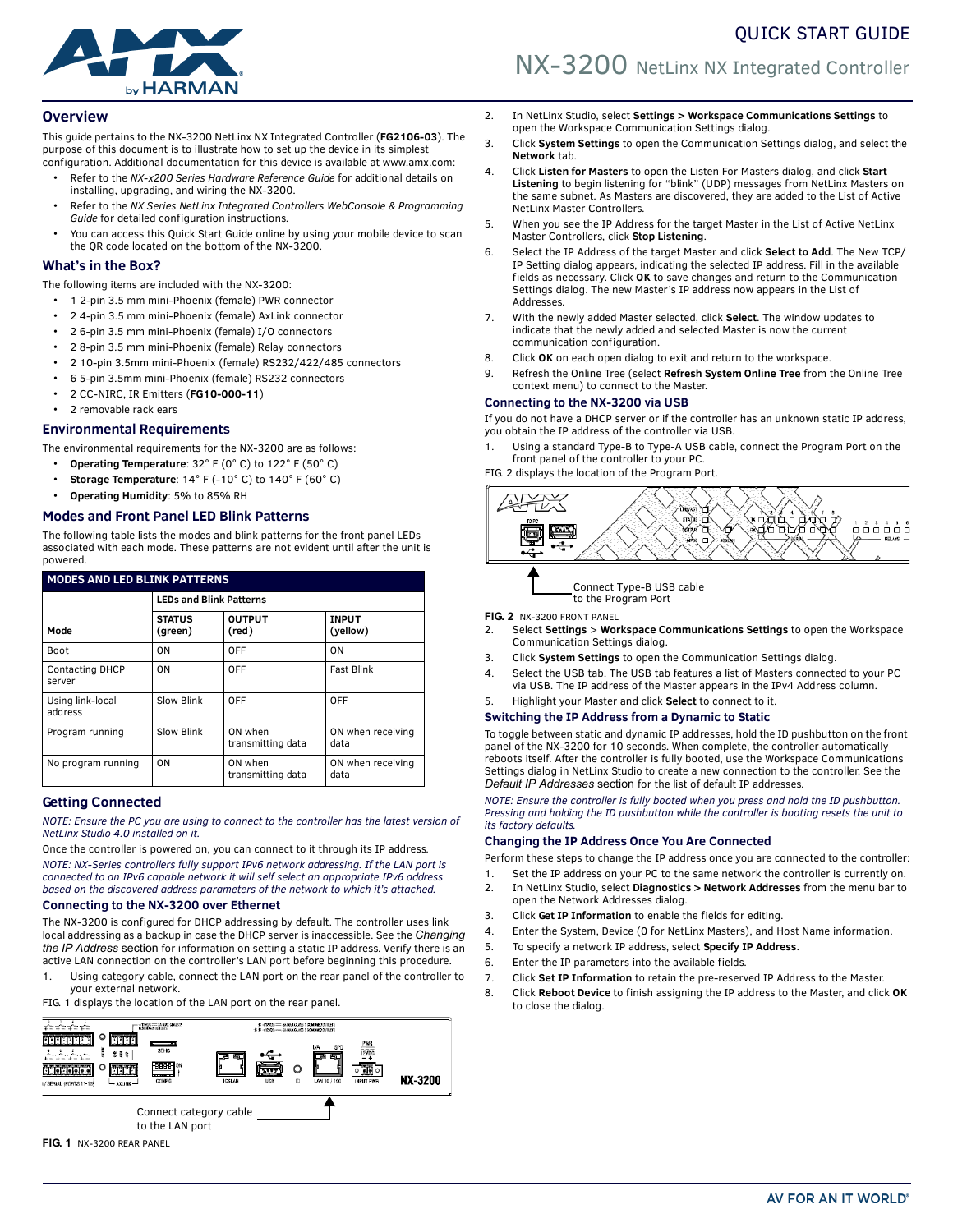# by HARMAN

# NX-3200 NetLinx NX Integrated Controller

# **Overview**

This guide pertains to the NX-3200 NetLinx NX Integrated Controller (**FG2106-03**). The purpose of this document is to illustrate how to set up the device in its simplest

- configuration. Additional documentation for this device is available at www.amx.com: • Refer to the *NX-x200 Series Hardware Reference Guide* for additional details on installing, upgrading, and wiring the NX-3200.
	- Refer to the *NX Series NetLinx Integrated Controllers WebConsole & Programming Guide* for detailed configuration instructions.
	- You can access this Quick Start Guide online by using your mobile device to scan the QR code located on the bottom of the NX-3200.

# **What's in the Box?**

The following items are included with the NX-3200:

- 1 2-pin 3.5 mm mini-Phoenix (female) PWR connector
- 2 4-pin 3.5 mm mini-Phoenix (female) AxLink connector
- 2 6-pin 3.5 mm mini-Phoenix (female) I/O connectors
- 2 8-pin 3.5 mm mini-Phoenix (female) Relay connectors
- 2 10-pin 3.5mm mini-Phoenix (female) RS232/422/485 connectors
- 6 5-pin 3.5mm mini-Phoenix (female) RS232 connectors
- 2 CC-NIRC, IR Emitters (**FG10-000-11**)
- 2 removable rack ears

# **Environmental Requirements**

The environmental requirements for the NX-3200 are as follows:

- **Operating Temperature**: 32° F (0° C) to 122° F (50° C)
- **Storage Temperature**: 14° F (-10° C) to 140° F (60° C)
- **Operating Humidity**: 5% to 85% RH

# **Modes and Front Panel LED Blink Patterns**

The following table lists the modes and blink patterns for the front panel LEDs associated with each mode. These patterns are not evident until after the unit is powered.

| <b>MODES AND LED BLINK PATTERNS</b> |                                |                              |                           |  |
|-------------------------------------|--------------------------------|------------------------------|---------------------------|--|
|                                     | <b>LEDs and Blink Patterns</b> |                              |                           |  |
| Mode                                | <b>STATUS</b><br>(green)       | <b>OUTPUT</b><br>(red)       | <b>INPUT</b><br>(yellow)  |  |
| <b>Boot</b>                         | ON                             | OFF                          | ON                        |  |
| <b>Contacting DHCP</b><br>server    | ON                             | OFF                          | <b>Fast Blink</b>         |  |
| Using link-local<br>address         | Slow Blink                     | OFF                          | OFF                       |  |
| Program running                     | Slow Blink                     | ON when<br>transmitting data | ON when receiving<br>data |  |
| No program running                  | ON                             | ON when<br>transmitting data | ON when receiving<br>data |  |

# **Getting Connected**

*NOTE: Ensure the PC you are using to connect to the controller has the latest version of NetLinx Studio 4.0 installed on it.*

Once the controller is powered on, you can connect to it through its IP address. *NOTE: NX-Series controllers fully support IPv6 network addressing. If the LAN port is connected to an IPv6 capable network it will self select an appropriate IPv6 address based on the discovered address parameters of the network to which it's attached.*

# **Connecting to the NX-3200 over Ethernet**

The NX-3200 is configured for DHCP addressing by default. The controller uses link local addressing as a backup in case the DHCP server is inaccessible. See the *Changing the IP Address* section for information on setting a static IP address. Verify there is an active LAN connection on the controller's LAN port before beginning this procedure.

Using category cable, connect the LAN port on the rear panel of the controller to your external network.

FIG. 1 displays the location of the LAN port on the rear panel.





- 2. In NetLinx Studio, select **Settings > Workspace Communications Settings** to open the Workspace Communication Settings dialog.
- 3. Click **System Settings** to open the Communication Settings dialog, and select the **Network** tab.
- 4. Click **Listen for Masters** to open the Listen For Masters dialog, and click **Start Listening** to begin listening for "blink" (UDP) messages from NetLinx Masters on the same subnet. As Masters are discovered, they are added to the List of Active NetLinx Master Controllers.
- 5. When you see the IP Address for the target Master in the List of Active NetLinx Master Controllers, click **Stop Listening**.
- 6. Select the IP Address of the target Master and click **Select to Add**. The New TCP/ IP Setting dialog appears, indicating the selected IP address. Fill in the available fields as necessary. Click **OK** to save changes and return to the Communication Settings dialog. The new Master's IP address now appears in the List of Addresses.
- 7. With the newly added Master selected, click **Select**. The window updates to indicate that the newly added and selected Master is now the current communication configuration.
- 8. Click **OK** on each open dialog to exit and return to the workspace.
- 9. Refresh the Online Tree (select **Refresh System Online Tree** from the Online Tree context menu) to connect to the Master.

# **Connecting to the NX-3200 via USB**

If you do not have a DHCP server or if the controller has an unknown static IP address, you obtain the IP address of the controller via USB.

Using a standard Type-B to Type-A USB cable, connect the Program Port on the front panel of the controller to your PC.

FIG. 2 displays the location of the Program Port.



Connect Type-B USB cable to the Program Port

**FIG. 2** NX-3200 FRONT PANEL

- 2. Select **Settings** > **Workspace Communications Settings** to open the Workspace Communication Settings dialog.
- 3. Click **System Settings** to open the Communication Settings dialog.
- 4. Select the USB tab. The USB tab features a list of Masters connected to your PC via USB. The IP address of the Master appears in the IPv4 Address column.
- 5. Highlight your Master and click **Select** to connect to it.

#### **Switching the IP Address from a Dynamic to Static**

To toggle between static and dynamic IP addresses, hold the ID pushbutton on the front panel of the NX-3200 for 10 seconds. When complete, the controller automatically reboots itself. After the controller is fully booted, use the Workspace Communications Settings dialog in NetLinx Studio to create a new connection to the controller. See the *[Default IP Addresses](#page-1-0)* section for the list of default IP addresses.

*NOTE: Ensure the controller is fully booted when you press and hold the ID pushbutton. Pressing and holding the ID pushbutton while the controller is booting resets the unit to its factory defaults.*

#### **Changing the IP Address Once You Are Connected**

Perform these steps to change the IP address once you are connected to the controller:

- 1. Set the IP address on your PC to the same network the controller is currently on.
- 2. In NetLinx Studio, select **Diagnostics > Network Addresses** from the menu bar to open the Network Addresses dialog.
- 3. Click **Get IP Information** to enable the fields for editing.
- 4. Enter the System, Device (0 for NetLinx Masters), and Host Name information.
- 5. To specify a network IP address, select **Specify IP Address**.
- 6. Enter the IP parameters into the available fields.
- 7. Click **Set IP Information** to retain the pre-reserved IP Address to the Master.
- 8. Click **Reboot Device** to finish assigning the IP address to the Master, and click **OK** to close the dialog.